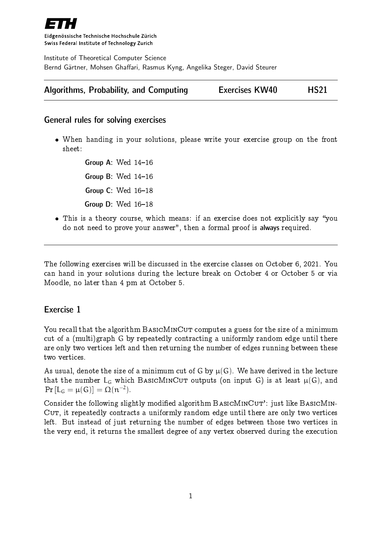

Eidgenössische Technische Hochschule Zürich Swiss Federal Institute of Technology Zurich

Institute of Theoretical Computer Science Bernd Gärtner, Mohsen Ghaffari, Rasmus Kyng, Angelika Steger, David Steurer

| Algorithms, Probability, and Computing | <b>Exercises KW40</b> |  | <b>HS21</b> |
|----------------------------------------|-----------------------|--|-------------|
|----------------------------------------|-----------------------|--|-------------|

### General rules for solving exercises

 When handing in your solutions, please write your exercise group on the front sheet:

> Group A: Wed  $14-16$ Group B: Wed  $14-16$ Group  $C:$  Wed  $16-18$ Group  $D$ : Wed  $16-18$

• This is a theory course, which means: if an exercise does not explicitly say "you do not need to prove your answer", then a formal proof is always required.

The following exercises will be discussed in the exercise classes on October 6, 2021. You can hand in your solutions during the lecture break on October 4 or October 5 or via Moodle, no later than 4 pm at October 5.

# Exercise 1

You recall that the algorithm BASICMINCUT computes a guess for the size of a minimum cut of a (multi)graph G by repeatedly contracting a uniformly random edge until there are only two vertices left and then returning the number of edges running between these two vertices.

As usual, denote the size of a minimum cut of G by  $\mu(G)$ . We have derived in the lecture that the number  $L_G$  which BASICMINCUT outputs (on input G) is at least  $\mu(G)$ , and  $Pr [L_G = \mu(G)] = \Omega(n^{-2}).$ 

Consider the following slightly modified algorithm  $BASICMINCUT'$ : just like  $BASICMIN CUT$ , it repeatedly contracts a uniformly random edge until there are only two vertices left. But instead of just returning the number of edges between those two vertices in the very end, it returns the smallest degree of any vertex observed during the execution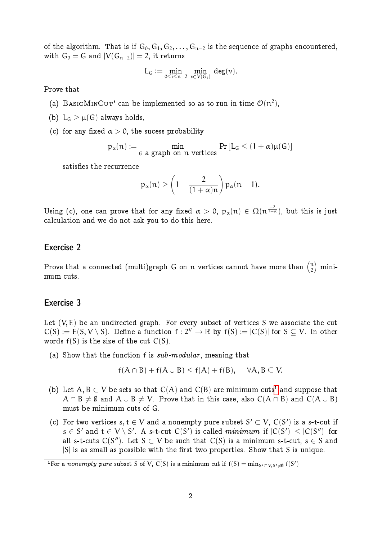of the algorithm. That is if  $G_0, G_1, G_2, \ldots, G_{n-2}$  is the sequence of graphs encountered, with  $G_0 = G$  and  $|V(G_{n-2})| = 2$ , it returns

$$
L_G \mathrel{\mathop:}= \min_{0 \leq i \leq n-2} \ \min_{\nu \in V(G_i)} \ \deg(\nu).
$$

Prove that

- (a) BASICMINCUT' can be implemented so as to run in time  $\mathcal{O}(n^2)$ ,
- (b)  $L_G > \mu(G)$  always holds,
- (c) for any fixed  $\alpha > 0$ , the sucess probability

$$
p_{\alpha}(n) := \min_{G \text{ a graph on } n \text{ vertices}} Pr [L_G \leq (1 + \alpha)\mu(G)]
$$

satisfies the recurrence

$$
p_{\alpha}(n) \ge \left(1 - \frac{2}{(1+\alpha)n}\right) p_{\alpha}(n-1).
$$

Using (c), one can prove that for any fixed  $\alpha>0,$   $p_\alpha(n)\in \Omega(n^{\frac{-2}{1+\alpha}}),$  but this is just calculation and we do not ask you to do this here.

### Exercise 2

Prove that a connected (multi)graph G on  $\mathfrak n$  vertices cannot have more than  $\binom{\mathfrak n}{2}$  $\binom{n}{2}$  minimum cuts.

#### Exercise 3

Let  $(V, E)$  be an undirected graph. For every subset of vertices S we associate the cut  $C(S) := E(S, V \setminus S)$ . Define a function  $f : 2^V \to \mathbb{R}$  by  $f(S) := |C(S)|$  for  $S \subseteq V$ . In other words  $f(S)$  is the size of the cut  $C(S)$ .

(a) Show that the function f is sub-modular, meaning that

$$
f(A \cap B) + f(A \cup B) \le f(A) + f(B), \quad \forall A, B \subseteq V.
$$

- (b) Let A, B  $\subset$  V be sets so that  $C(A)$  and  $C(B)$  are minimum cuts<sup>[1](#page-1-0)</sup> and suppose that  $A \cap B \neq \emptyset$  and  $A \cup B \neq V$ . Prove that in this case, also  $C(A \cap B)$  and  $C(A \cup B)$ must be minimum cuts of G.
- (c) For two vertices  $s, t \in V$  and a nonempty pure subset  $S' \subset V$ ,  $C(S')$  is a s-t-cut if  $s \in S'$  and  $t \in V \setminus S'$ . A s-t-cut  $C(S')$  is called minimum if  $|C(S')| \leq |C(S'')|$  for all s-t-cuts  $C(S'')$ . Let  $S \subset V$  be such that  $C(S)$  is a minimum s-t-cut,  $s \in S$  and  $|S|$  is as small as possible with the first two properties. Show that S is unique.

<span id="page-1-0"></span><sup>&</sup>lt;sup>1</sup>For a nonempty pure subset S of V, C(S) is a minimum cut if  $f(S) = \min_{S' \subset V, S' \neq \emptyset} f(S')$